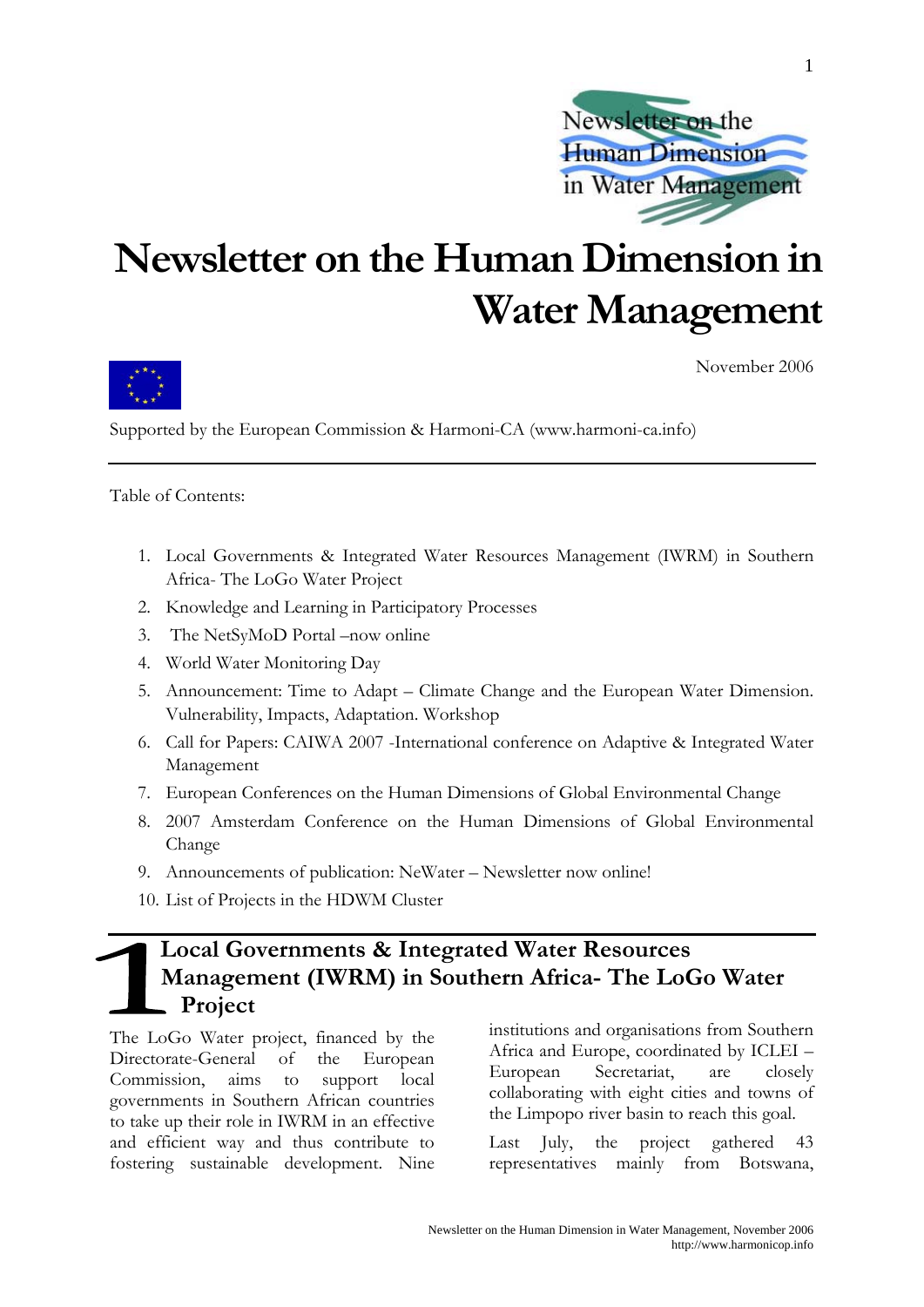

## **Newsletter on the Human Dimension in Water Management**



November 2006

Supported by the European Commission & Harmoni-CA (www.harmoni-ca.info)

Table of Contents:

- 1. Local Governments & Integrated Water Resources Management (IWRM) in Southern Africa- The LoGo Water Project
- 2. Knowledge and Learning in Participatory Processes
- 3. The NetSyMoD Portal –now online
- 4. World Water Monitoring Day
- 5. Announcement: Time to Adapt Climate Change and the European Water Dimension. Vulnerability, Impacts, Adaptation. Workshop
- 6. Call for Papers: CAIWA 2007 -International conference on Adaptive & Integrated Water Management
- 7. European Conferences on the Human Dimensions of Global Environmental Change
- 8. 2007 Amsterdam Conference on the Human Dimensions of Global Environmental Change
- 9. Announcements of publication: NeWater Newsletter now online!
- 10. List of Projects in the HDWM Cluster

### **Local Governments & Integrated Water Resources Management (IWRM) in Southern Africa- The LoGo Water Project**

The LoGo Water project, financed by the Directorate-General of the European Commission, aims to support local governments in Southern African countries to take up their role in IWRM in an effective and efficient way and thus contribute to fostering sustainable development. Nine

institutions and organisations from Southern Africa and Europe, coordinated by ICLEI – European Secretariat, are closely collaborating with eight cities and towns of the Limpopo river basin to reach this goal.

Last July, the project gathered 43 representatives mainly from Botswana,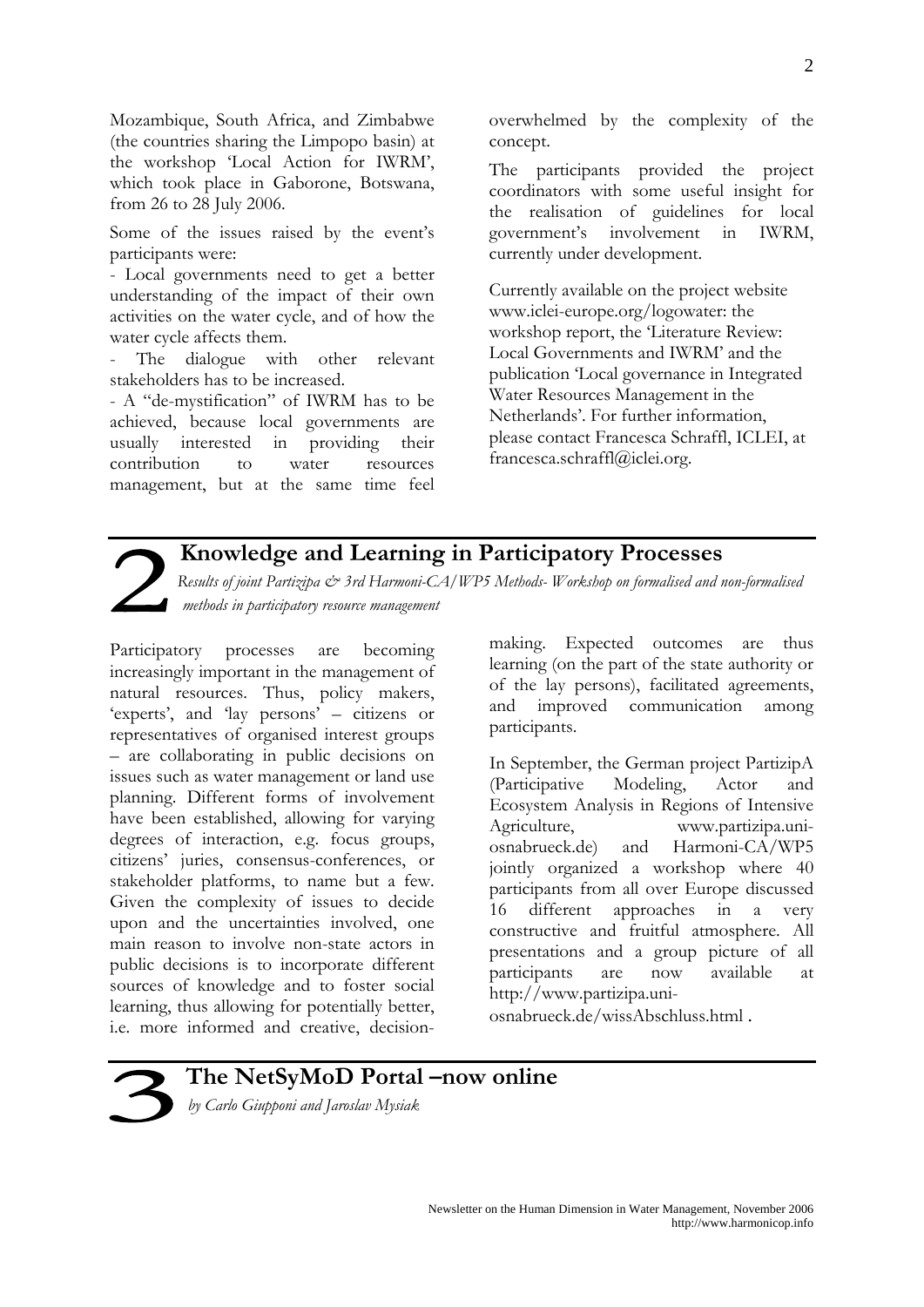Mozambique, South Africa, and Zimbabwe (the countries sharing the Limpopo basin) at the workshop 'Local Action for IWRM', which took place in Gaborone, Botswana, from 26 to 28 July 2006.

Some of the issues raised by the event's participants were:

- Local governments need to get a better understanding of the impact of their own activities on the water cycle, and of how the water cycle affects them.

The dialogue with other relevant stakeholders has to be increased.

- A "de-mystification" of IWRM has to be achieved, because local governments are usually interested in providing their contribution to water resources management, but at the same time feel

overwhelmed by the complexity of the concept.

The participants provided the project coordinators with some useful insight for the realisation of guidelines for local government's involvement in IWRM, currently under development.

Currently available on the project website [www.iclei-europe.org/logowater:](http://www.iclei-europe.org/logowater) the workshop report, the 'Literature Review: Local Governments and IWRM' and the publication 'Local governance in Integrated Water Resources Management in the Netherlands'. For further information, please contact Francesca Schraffl, ICLEI, at francesca.schraffl@iclei.org.

### **Knowledge and Learning in Participatory Processes**

*Results of joint Partizipa & 3rd Harmoni-CA/WP5 Methods- Workshop on formalised and non-formalised methods in participatory resource management* 

Participatory processes are becoming increasingly important in the management of natural resources. Thus, policy makers, 'experts', and 'lay persons' – citizens or representatives of organised interest groups – are collaborating in public decisions on issues such as water management or land use planning. Different forms of involvement have been established, allowing for varying degrees of interaction, e.g. focus groups, citizens' juries, consensus-conferences, or stakeholder platforms, to name but a few. Given the complexity of issues to decide upon and the uncertainties involved, one main reason to involve non-state actors in public decisions is to incorporate different sources of knowledge and to foster social learning, thus allowing for potentially better, i.e. more informed and creative, decision-

making. Expected outcomes are thus learning (on the part of the state authority or of the lay persons), facilitated agreements, and improved communication among participants.

In September, the German project PartizipA (Participative Modeling, Actor and Ecosystem Analysis in Regions of Intensive Agriculture, [www.partizipa.uni](http://www.partizipa.uni-osnabrueck.de/)[osnabrueck.de](http://www.partizipa.uni-osnabrueck.de/)) and Harmoni-CA/WP5 jointly organized a workshop where 40 participants from all over Europe discussed 16 different approaches in a very constructive and fruitful atmosphere. All presentations and a group picture of all participants are now available at [http://www.partizipa.uni-](http://www.partizipa.uni-osnabrueck.de/wissAbschluss.html)

[osnabrueck.de/wissAbschluss.html](http://www.partizipa.uni-osnabrueck.de/wissAbschluss.html) .



### **The NetSyMoD Portal –now online**

*by Carlo Giupponi and Jaroslav Mysiak* 

2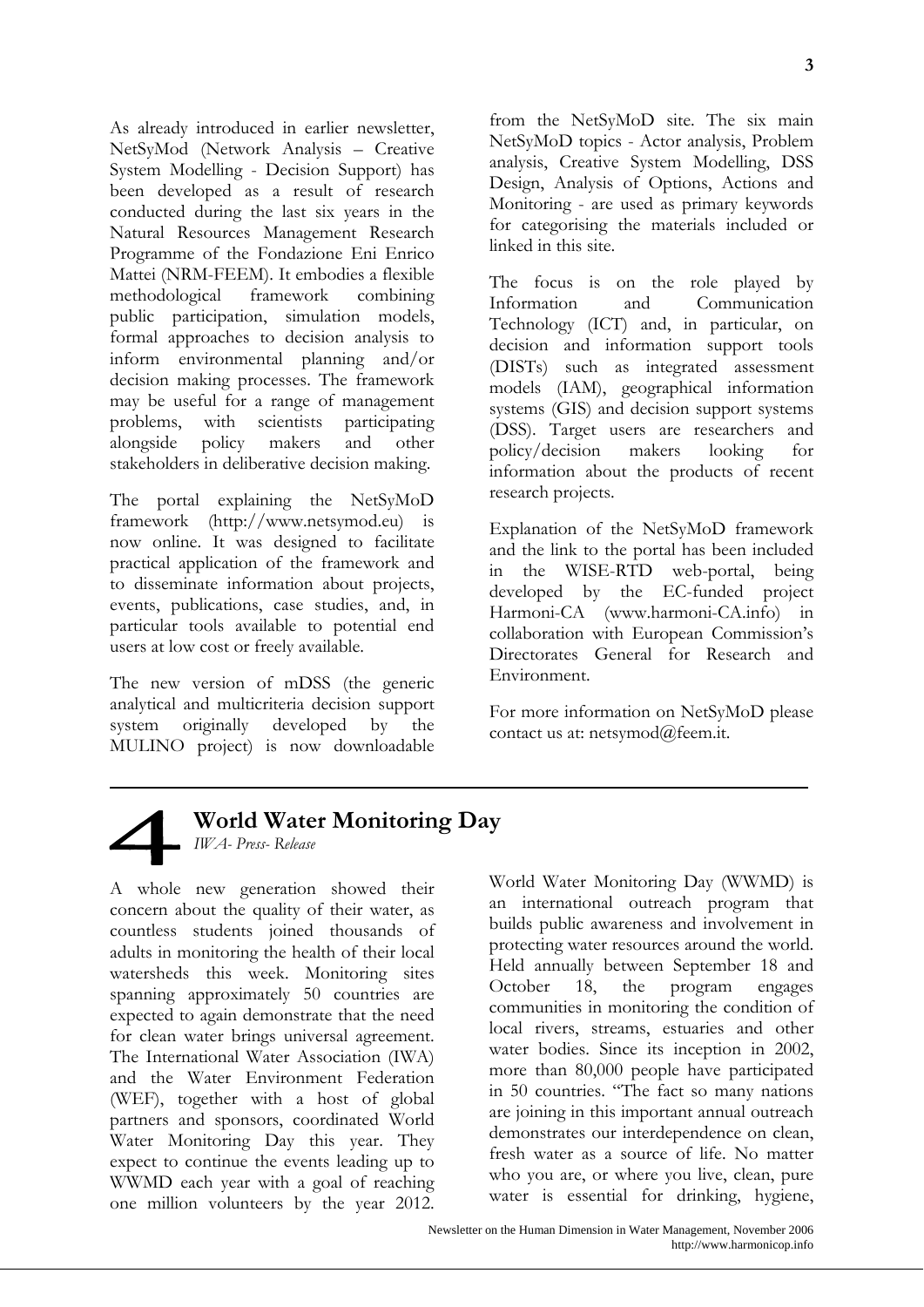As already introduced in earlier newsletter, NetSyMod (Network Analysis – Creative System Modelling - Decision Support) has been developed as a result of research conducted during the last six years in the Natural Resources Management Research Programme of the Fondazione Eni Enrico Mattei (NRM-FEEM). It embodies a flexible methodological framework combining public participation, simulation models, formal approaches to decision analysis to inform environmental planning and/or decision making processes. The framework may be useful for a range of management problems, with scientists participating alongside policy makers and other stakeholders in deliberative decision making.

The portal explaining the NetSyMoD framework ([http://www.netsymod.eu\)](http://www.netsymod.eu/) is now online. It was designed to facilitate practical application of the framework and to disseminate information about projects, events, publications, case studies, and, in particular tools available to potential end users at low cost or freely available.

The new version of mDSS (the generic analytical and multicriteria decision support system originally developed by the MULINO project) is now downloadable

from the NetSyMoD site. The six main NetSyMoD topics - Actor analysis, Problem analysis, Creative System Modelling, DSS Design, Analysis of Options, Actions and Monitoring - are used as primary keywords for categorising the materials included or linked in this site.

The focus is on the role played by Information and Communication Technology (ICT) and, in particular, on decision and information support tools (DISTs) such as integrated assessment models (IAM), geographical information systems (GIS) and decision support systems (DSS). Target users are researchers and policy/decision makers looking for information about the products of recent research projects.

Explanation of the NetSyMoD framework and the link to the portal has been included in the WISE-RTD web-portal, being developed by the EC-funded project Harmoni-CA ([www.harmoni-CA.info\)](http://www.harmoni-ca.info/) in collaboration with European Commission's Directorates General for Research and Environment.

For more information on NetSyMoD please contact us at: netsymod@feem.it.



### **World Water Monitoring Day**

*IWA- Press- Release* 

A whole new generation showed their concern about the quality of their water, as countless students joined thousands of adults in monitoring the health of their local watersheds this week. Monitoring sites spanning approximately 50 countries are expected to again demonstrate that the need for clean water brings universal agreement. The International Water Association (IWA) and the Water Environment Federation (WEF), together with a host of global partners and sponsors, coordinated World Water Monitoring Day this year. They expect to continue the events leading up to WWMD each year with a goal of reaching one million volunteers by the year 2012. World Water Monitoring Day (WWMD) is an international outreach program that builds public awareness and involvement in protecting water resources around the world. Held annually between September 18 and October 18, the program engages communities in monitoring the condition of local rivers, streams, estuaries and other water bodies. Since its inception in 2002, more than 80,000 people have participated in 50 countries. "The fact so many nations are joining in this important annual outreach demonstrates our interdependence on clean, fresh water as a source of life. No matter who you are, or where you live, clean, pure water is essential for drinking, hygiene,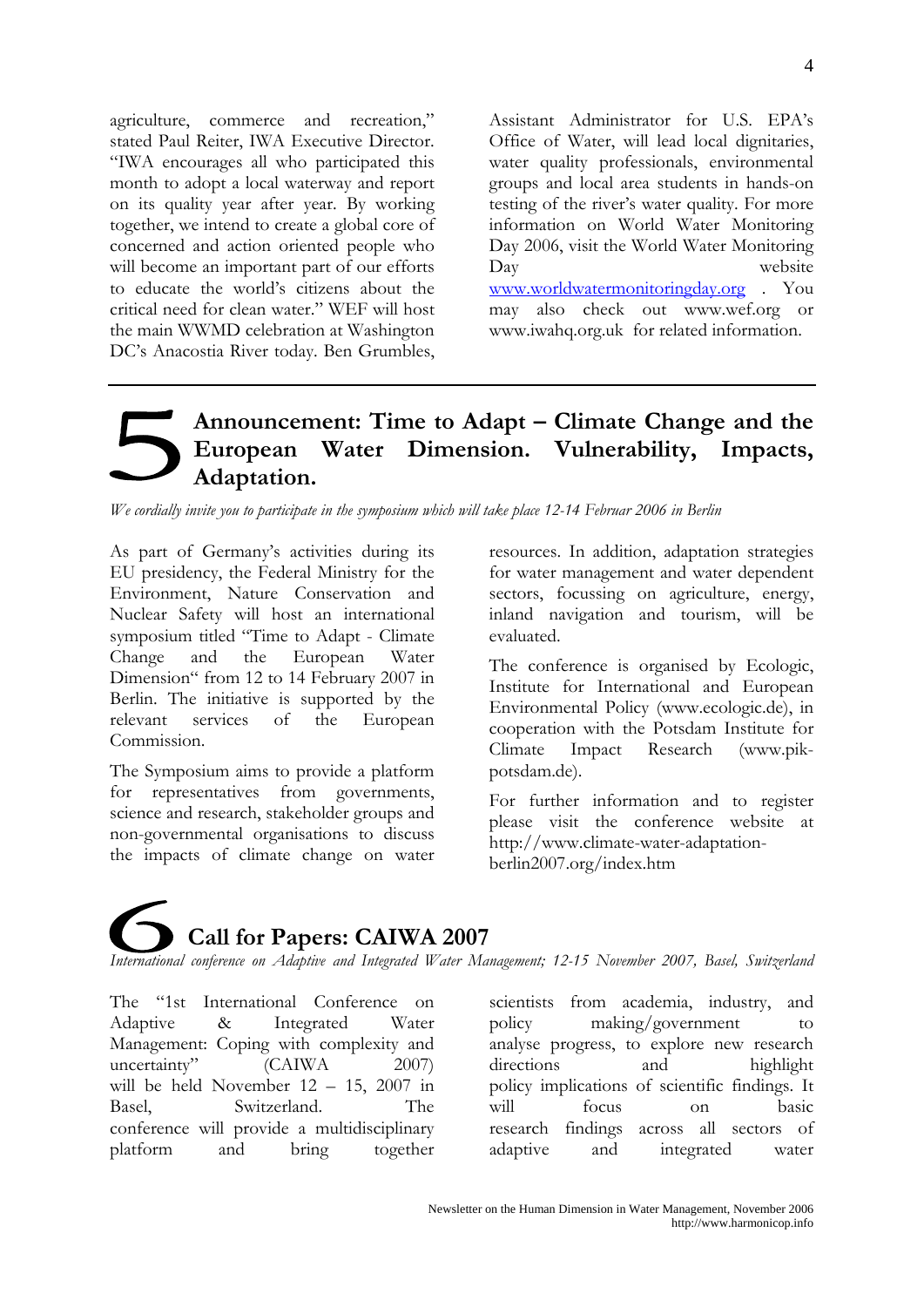agriculture, commerce and recreation," stated Paul Reiter, IWA Executive Director. "IWA encourages all who participated this month to adopt a local waterway and report on its quality year after year. By working together, we intend to create a global core of concerned and action oriented people who will become an important part of our efforts to educate the world's citizens about the critical need for clean water." WEF will host the main WWMD celebration at Washington DC's Anacostia River today. Ben Grumbles,

Assistant Administrator for U.S. EPA's Office of Water, will lead local dignitaries, water quality professionals, environmental groups and local area students in hands-on testing of the river's water quality. For more information on World Water Monitoring Day 2006, visit the World Water Monitoring Day website [www.worldwatermonitoringday.org](http://www.worldwatermonitoringday.org/) . You may also check out [www.wef.org](http://www.wef.org/) or [www.iwahq.org.uk](http://www.iwahq.org.uk/) for related information.

### **Announcement: Time to Adapt – Climate Change and the European Water Dimension. Vulnerability, Impacts, Adaptation.**

*We cordially invite you to participate in the symposium which will take place 12-14 Februar 2006 in Berlin*

As part of Germany's activities during its EU presidency, the Federal Ministry for the Environment, Nature Conservation and Nuclear Safety will host an international symposium titled "Time to Adapt - Climate Change and the European Water Dimension" from 12 to 14 February 2007 in Berlin. The initiative is supported by the relevant services of the European Commission.

The Symposium aims to provide a platform for representatives from governments, science and research, stakeholder groups and non-governmental organisations to discuss the impacts of climate change on water

resources. In addition, adaptation strategies for water management and water dependent sectors, focussing on agriculture, energy, inland navigation and tourism, will be evaluated.

The conference is organised by Ecologic, Institute for International and European Environmental Policy (www.ecologic.de), in cooperation with the Potsdam Institute for Climate Impact Research (www.pikpotsdam.de).

For further information and to register please visit the conference website at [http://www.climate-water-adaptation](http://www.climate-water-adaptation-berlin2007.org/index.htm)[berlin2007.org/index.htm](http://www.climate-water-adaptation-berlin2007.org/index.htm)

# **Call for Papers: CAIWA 2007**

*International conference on Adaptive and Integrated Water Management; 12-15 November 2007, Basel, Switzerland*

The "1st International Conference on Adaptive & Integrated Water Management: Coping with complexity and uncertainty" (CAIWA 2007) will be held November 12 – 15, 2007 in Basel, Switzerland. The conference will provide a multidisciplinary platform and bring together

scientists from academia, industry, and policy making/government to analyse progress, to explore new research directions and highlight policy implications of scientific findings. It will focus on basic research findings across all sectors of adaptive and integrated water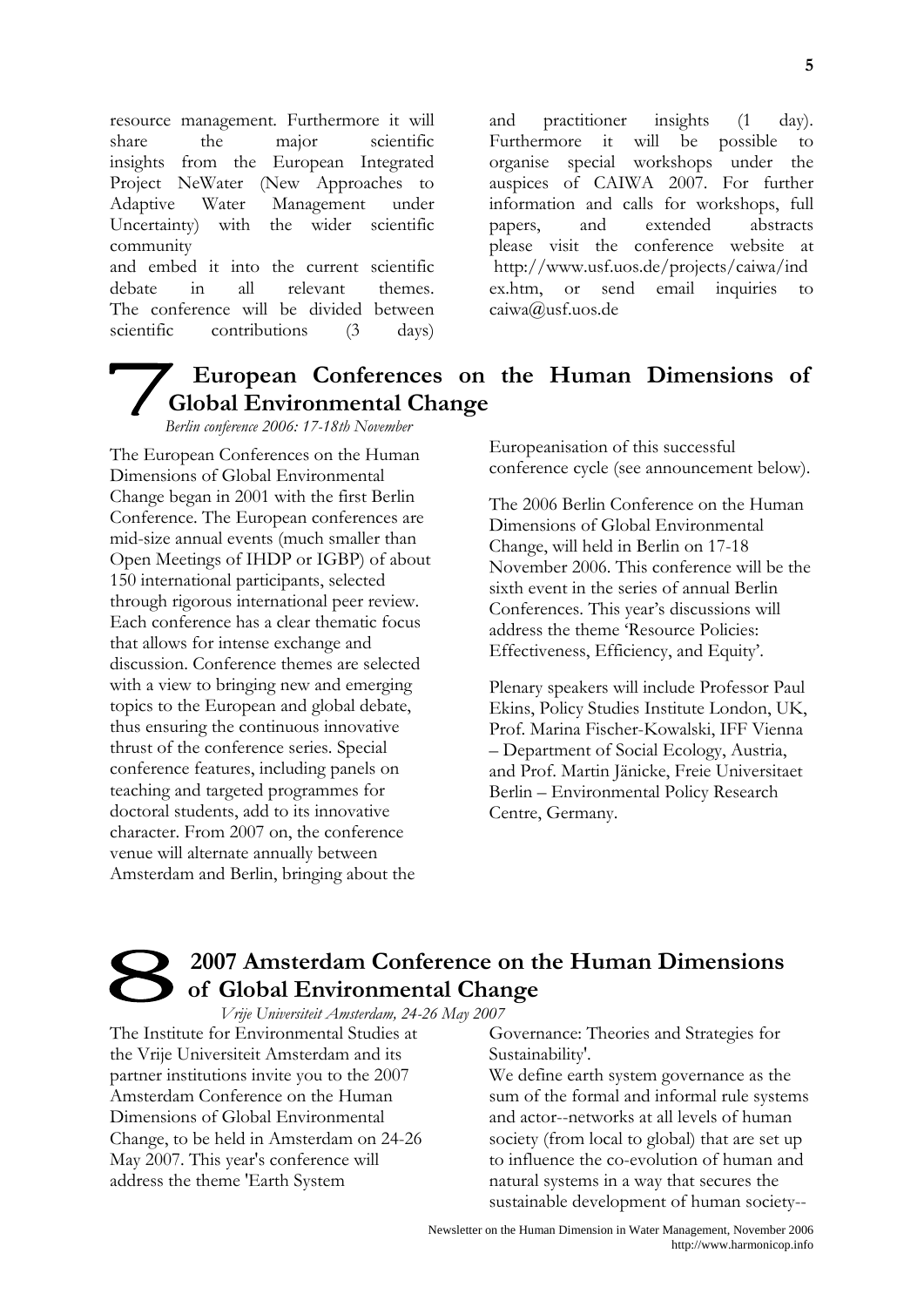resource management. Furthermore it will share the major scientific insights from the European Integrated Project NeWater (New Approaches to Adaptive Water Management under Uncertainty) with the wider scientific community

and embed it into the current scientific debate in all relevant themes. The conference will be divided between scientific contributions (3 days)

and practitioner insights (1 day). Furthermore it will be possible to organise special workshops under the auspices of CAIWA 2007. For further information and calls for workshops, full papers, and extended abstracts please visit the conference website at [http://www.usf.uos.de/projects/caiwa/ind](http://www.usf.uos.de/projects/caiwa/index.htm) [ex.htm](http://www.usf.uos.de/projects/caiwa/index.htm), or send email inquiries to [caiwa@usf.uos.de](mailto:caiwa@usf.uos.de) 

### **European Conferences on the Human Dimensions of Global Environmental Change**

*Berlin conference 2006: 17-18th November* 

The European Conferences on the Human Dimensions of Global Environmental Change began in 2001 with the first Berlin Conference. The European conferences are mid-size annual events (much smaller than Open Meetings of IHDP or IGBP) of about 150 international participants, selected through rigorous international peer review. Each conference has a clear thematic focus that allows for intense exchange and discussion. Conference themes are selected with a view to bringing new and emerging topics to the European and global debate, thus ensuring the continuous innovative thrust of the conference series. Special conference features, including panels on teaching and targeted programmes for doctoral students, add to its innovative character. From 2007 on, the conference venue will alternate annually between Amsterdam and Berlin, bringing about the

Europeanisation of this successful conference cycle (see announcement below).

The 2006 Berlin Conference on the Human Dimensions of Global Environmental Change, will held in Berlin on 17-18 November 2006. This conference will be the sixth event in the series of annual Berlin Conferences. This year's discussions will address the theme 'Resource Policies: Effectiveness, Efficiency, and Equity'.

Plenary speakers will include Professor Paul Ekins, Policy Studies Institute London, UK, Prof. Marina Fischer-Kowalski, IFF Vienna – Department of Social Ecology, Austria, and Prof. Martin Jänicke, Freie Universitaet Berlin – Environmental Policy Research Centre, Germany.

### **2007 Amsterdam Conference on the Human Dimensions of Global Environmental Change**

*Vrije Universiteit Amsterdam, 24-26 May 2007* 

The Institute for Environmental Studies at the Vrije Universiteit Amsterdam and its partner institutions invite you to the 2007 Amsterdam Conference on the Human Dimensions of Global Environmental Change, to be held in Amsterdam on 24-26 May 2007. This year's conference will address the theme 'Earth System

Governance: Theories and Strategies for Sustainability'.

We define earth system governance as the sum of the formal and informal rule systems and actor--networks at all levels of human society (from local to global) that are set up to influence the co-evolution of human and natural systems in a way that secures the sustainable development of human society--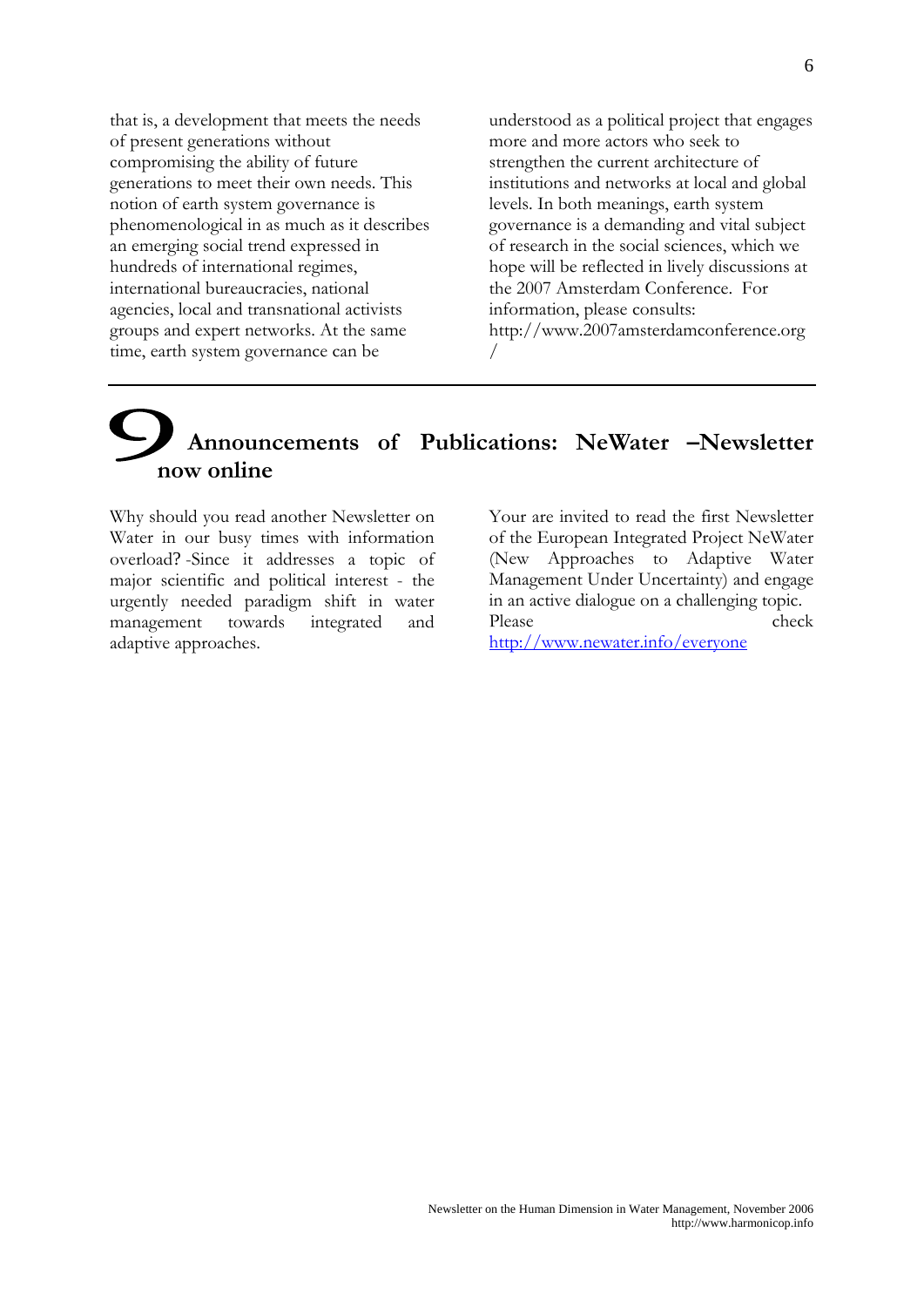that is, a development that meets the needs of present generations without compromising the ability of future generations to meet their own needs. This notion of earth system governance is phenomenological in as much as it describes an emerging social trend expressed in hundreds of international regimes, international bureaucracies, national agencies, local and transnational activists groups and expert networks. At the same time, earth system governance can be

understood as a political project that engages more and more actors who seek to strengthen the current architecture of institutions and networks at local and global levels. In both meanings, earth system governance is a demanding and vital subject of research in the social sciences, which we hope will be reflected in lively discussions at the 2007 Amsterdam Conference. For information, please consults: http://www.2007amsterdamconference.org /

### **Announcements of Publications: NeWater –Newsletter now online**

Why should you read another Newsletter on Water in our busy times with information overload? -Since it addresses a topic of major scientific and political interest - the urgently needed paradigm shift in water management towards integrated and adaptive approaches.

Your are invited to read the first Newsletter of the European Integrated Project NeWater (New Approaches to Adaptive Water Management Under Uncertainty) and engage in an active dialogue on a challenging topic. Please check

<http://www.newater.info/everyone>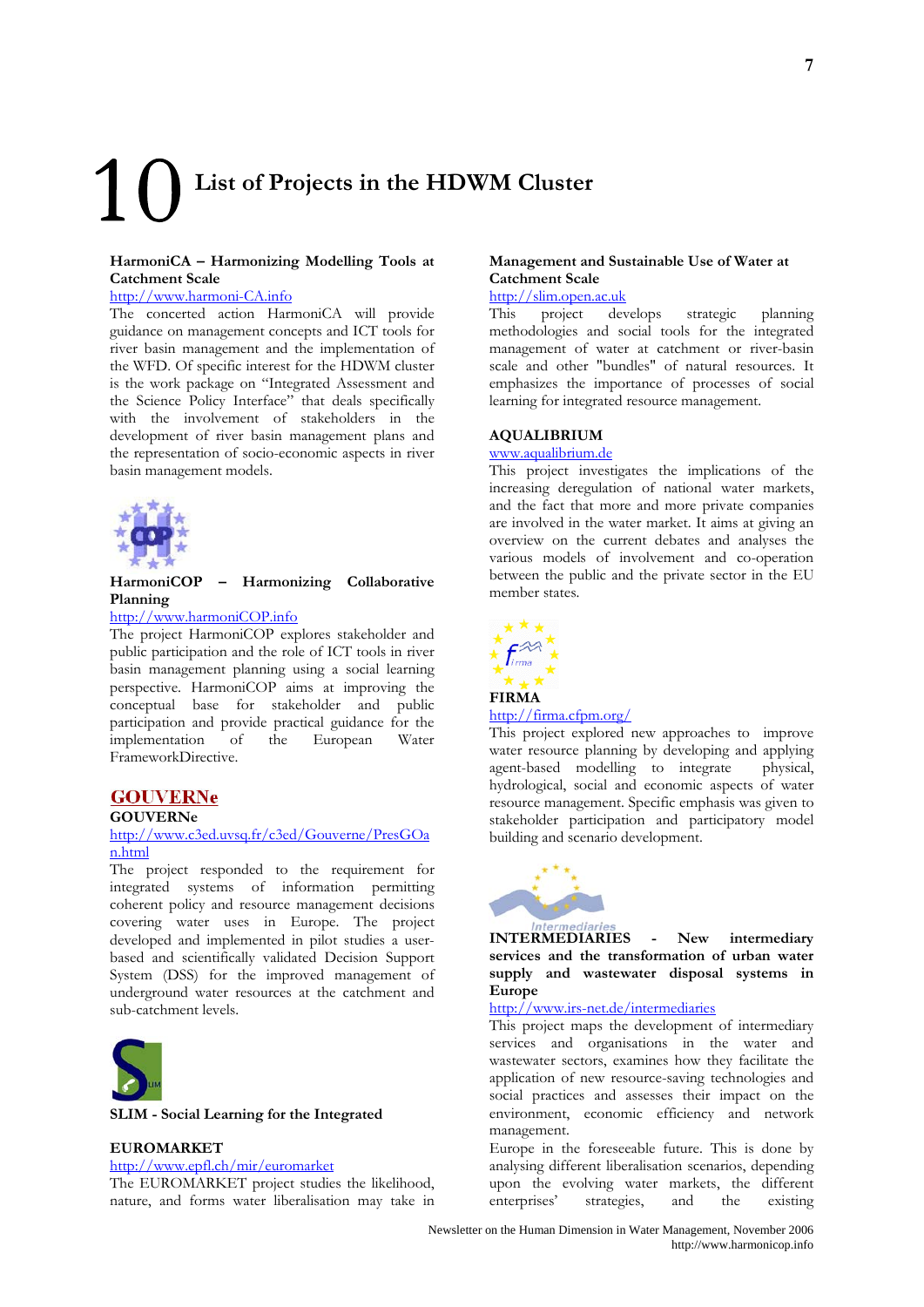# **List of Projects in the HDWM Cluster**

### **HarmoniCA – Harmonizing Modelling Tools at Catchment Scale**

### [http://www.harmoni-CA.info](http://www.harmoni-ca.info/)

The concerted action HarmoniCA will provide guidance on management concepts and ICT tools for river basin management and the implementation of the WFD. Of specific interest for the HDWM cluster is the work package on "Integrated Assessment and the Science Policy Interface" that deals specifically with the involvement of stakeholders in the development of river basin management plans and the representation of socio-economic aspects in river basin management models.



### **HarmoniCOP – Harmonizing Collaborative Planning**

### [http://www.harmoniCOP.info](http://www.harmonicop.info/)

The project HarmoniCOP explores stakeholder and public participation and the role of ICT tools in river basin management planning using a social learning perspective. HarmoniCOP aims at improving the conceptual base for stakeholder and public participation and provide practical guidance for the implementation of the European Water FrameworkDirective.

### **GOUVERNe**

### **GOUVERNe**

### [http://www.c3ed.uvsq.fr/c3ed/Gouverne/PresGOa](http://www.c3ed.uvsq.fr/c3ed/Gouverne/PresGOan.html) [n.html](http://www.c3ed.uvsq.fr/c3ed/Gouverne/PresGOan.html)

The project responded to the requirement for integrated systems of information permitting coherent policy and resource management decisions covering water uses in Europe. The project developed and implemented in pilot studies a userbased and scientifically validated Decision Support System (DSS) for the improved management of underground water resources at the catchment and sub-catchment levels.



#### **SLIM - Social Learning for the Integrated**

### **EUROMARKET**

<http://www.epfl.ch/mir/euromarket>

The EUROMARKET project studies the likelihood, nature, and forms water liberalisation may take in

### **Management and Sustainable Use of Water at Catchment Scale**

### [http://slim.open.ac.uk](http://slim.open.ac.uk/)<br>This project dev

project develops strategic planning methodologies and social tools for the integrated management of water at catchment or river-basin scale and other "bundles" of natural resources. It emphasizes the importance of processes of social learning for integrated resource management.

#### **AQUALIBRIUM**

#### [www.aqualibrium.de](http://www.aqualibrium.de/)

This project investigates the implications of the increasing deregulation of national water markets, and the fact that more and more private companies are involved in the water market. It aims at giving an overview on the current debates and analyses the various models of involvement and co-operation between the public and the private sector in the EU member states.



### <http://firma.cfpm.org/>

This project explored new approaches to improve water resource planning by developing and applying agent-based modelling to integrate physical, hydrological, social and economic aspects of water resource management. Specific emphasis was given to stakeholder participation and participatory model building and scenario development.



**INTERMEDIARIES - New intermediary services and the transformation of urban water supply and wastewater disposal systems in Europe** 

### http://[www.irs-net.de/intermediaries](http://www.irs-net.de/intermediaries)

This project maps the development of intermediary services and organisations in the water and wastewater sectors, examines how they facilitate the application of new resource-saving technologies and social practices and assesses their impact on the environment, economic efficiency and network management.

Europe in the foreseeable future. This is done by analysing different liberalisation scenarios, depending upon the evolving water markets, the different enterprises' strategies, and the existing

Newsletter on the Human Dimension in Water Management, November 2006 http://www.harmonicop.info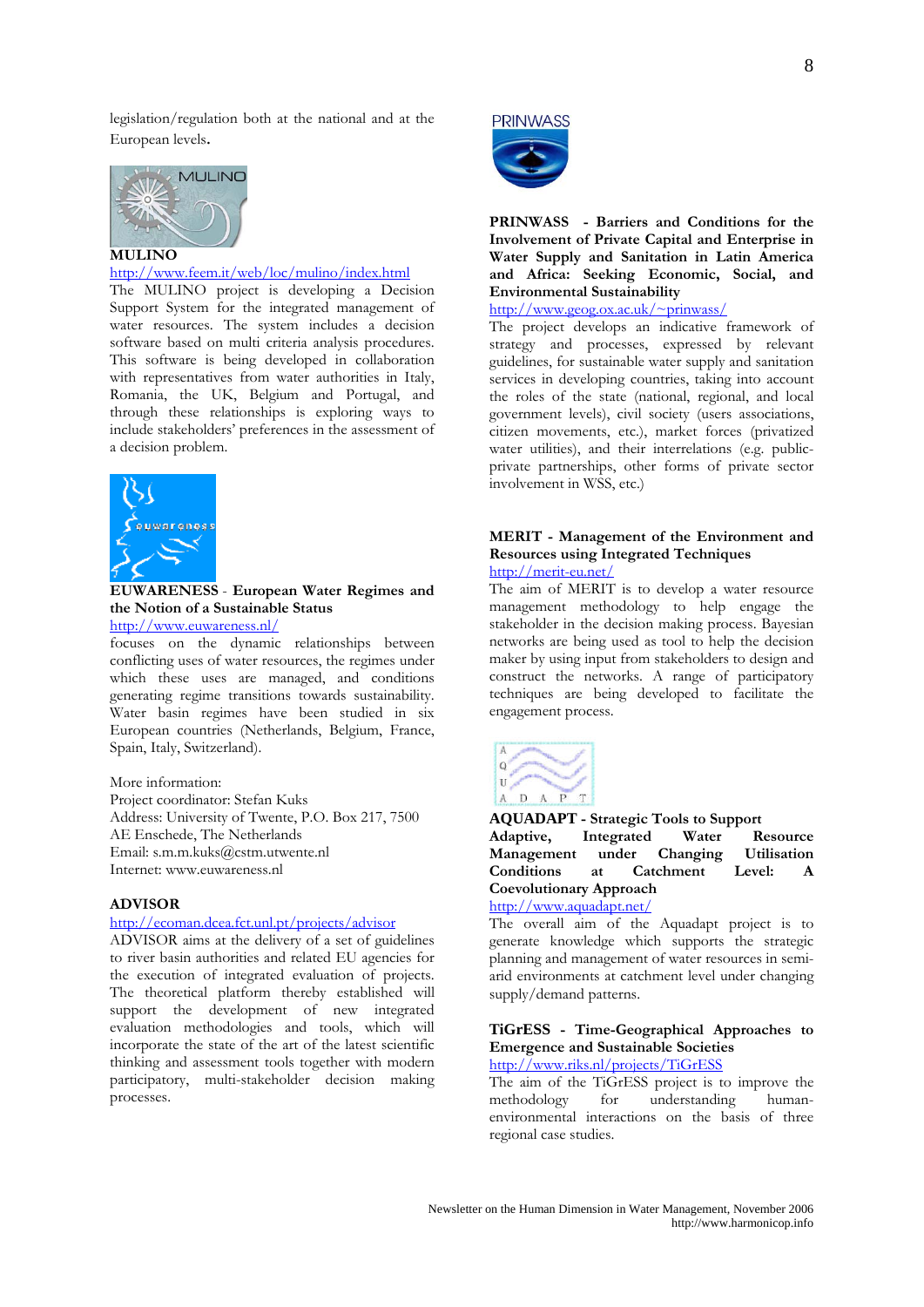legislation/regulation both at the national and at the European levels.



<http://www.feem.it/web/loc/mulino/index.html>

The MULINO project is developing a Decision Support System for the integrated management of water resources. The system includes a decision software based on multi criteria analysis procedures. This software is being developed in collaboration with representatives from water authorities in Italy, Romania, the UK, Belgium and Portugal, and through these relationships is exploring ways to include stakeholders' preferences in the assessment of a decision problem.



**EUWARENESS** - **European Water Regimes and the Notion of a Sustainable Status**  <http://www.euwareness.nl/>

focuses on the dynamic relationships between conflicting uses of water resources, the regimes under which these uses are managed, and conditions generating regime transitions towards sustainability. Water basin regimes have been studied in six European countries (Netherlands, Belgium, France, Spain, Italy, Switzerland).

More information: Project coordinator: Stefan Kuks Address: University of Twente, P.O. Box 217, 7500 AE Enschede, The Netherlands Email: s.m.m.kuks@cstm.utwente.nl Internet: www.euwareness.nl

### **ADVISOR**

### <http://ecoman.dcea.fct.unl.pt/projects/advisor>

ADVISOR aims at the delivery of a set of guidelines to river basin authorities and related EU agencies for the execution of integrated evaluation of projects. The theoretical platform thereby established will support the development of new integrated evaluation methodologies and tools, which will incorporate the state of the art of the latest scientific thinking and assessment tools together with modern participatory, multi-stakeholder decision making processes.



**PRINWASS - Barriers and Conditions for the Involvement of Private Capital and Enterprise in Water Supply and Sanitation in Latin America and Africa: Seeking Economic, Social, and Environmental Sustainability** 

[http://www.geog.ox.ac.uk/~prinwass/](http://www.geog.ox.ac.uk/%7Eprinwass/)

The project develops an indicative framework of strategy and processes, expressed by relevant guidelines, for sustainable water supply and sanitation services in developing countries, taking into account the roles of the state (national, regional, and local government levels), civil society (users associations, citizen movements, etc.), market forces (privatized water utilities), and their interrelations (e.g. publicprivate partnerships, other forms of private sector involvement in WSS, etc.)

### **MERIT - Management of the Environment and Resources using Integrated Techniques**  <http://merit-eu.net/>

The aim of MERIT is to develop a water resource management methodology to help engage the stakeholder in the decision making process. Bayesian networks are being used as tool to help the decision maker by using input from stakeholders to design and construct the networks. A range of participatory techniques are being developed to facilitate the engagement process.



**AQUADAPT - Strategic Tools to Support Adaptive, Integrated Water Resource Management under Changing Utilisation Conditions at Catchment Level: A Coevolutionary Approach** 

<http://www.aquadapt.net/>

The overall aim of the Aquadapt project is to generate knowledge which supports the strategic planning and management of water resources in semiarid environments at catchment level under changing supply/demand patterns.

### **TiGrESS - Time-Geographical Approaches to Emergence and Sustainable Societies**

<http://www.riks.nl/projects/TiGrESS>

The aim of the TiGrESS project is to improve the<br>methodology for understanding humanmethodology for understanding humanenvironmental interactions on the basis of three regional case studies.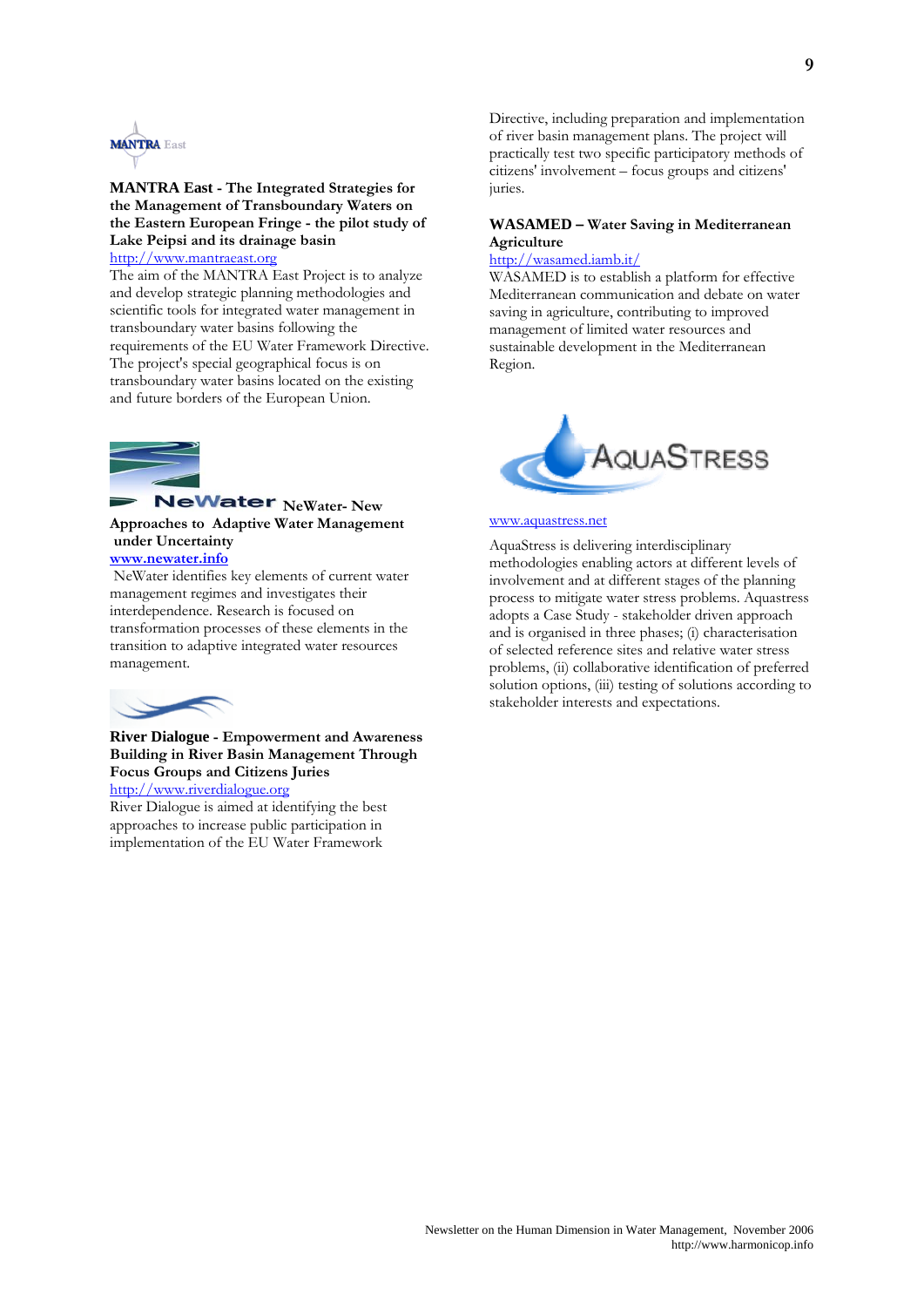

### **MANTRA East - The Integrated Strategies for the Management of Transboundary Waters on the Eastern European Fringe - the pilot study of Lake Peipsi and its drainage basin**  [http://www.mantraeast.org](http://www.mantraeast.org/)

The aim of the MANTRA East Project is to analyze and develop strategic planning methodologies and scientific tools for integrated water management in transboundary water basins following the requirements of the EU Water Framework Directive. The project's special geographical focus is on transboundary water basins located on the existing and future borders of the European Union.



### **NeWater** NeWater- New **Approaches to Adaptive Water Management under Uncertainty**

### **[www.newater.info](http://www.newater.info/)**

 NeWater identifies key elements of current water management regimes and investigates their interdependence. Research is focused on transformation processes of these elements in the transition to adaptive integrated water resources management.



### **River Dialogue - Empowerment and Awareness Building in River Basin Management Through Focus Groups and Citizens Juries**

[http://www.riverdialogue.org](http://www.riverdialogue.org/)

River Dialogue is aimed at identifying the best approaches to increase public participation in implementation of the EU Water Framework

Directive, including preparation and implementation of river basin management plans. The project will practically test two specific participatory methods of citizens' involvement – focus groups and citizens' juries.

### **WASAMED – Water Saving in Mediterranean Agriculture**

### <http://wasamed.iamb.it/>

WASAMED is to establish a platform for effective Mediterranean communication and debate on water saving in agriculture, contributing to improved management of limited water resources and sustainable development in the Mediterranean Region.



#### [www.aquastress.net](http://www.aquastress.net/)

AquaStress is delivering interdisciplinary methodologies enabling actors at different levels of involvement and at different stages of the planning process to mitigate water stress problems. Aquastress adopts a Case Study - stakeholder driven approach and is organised in three phases; (i) characterisation of selected reference sites and relative water stress problems, (ii) collaborative identification of preferred solution options, (iii) testing of solutions according to stakeholder interests and expectations.